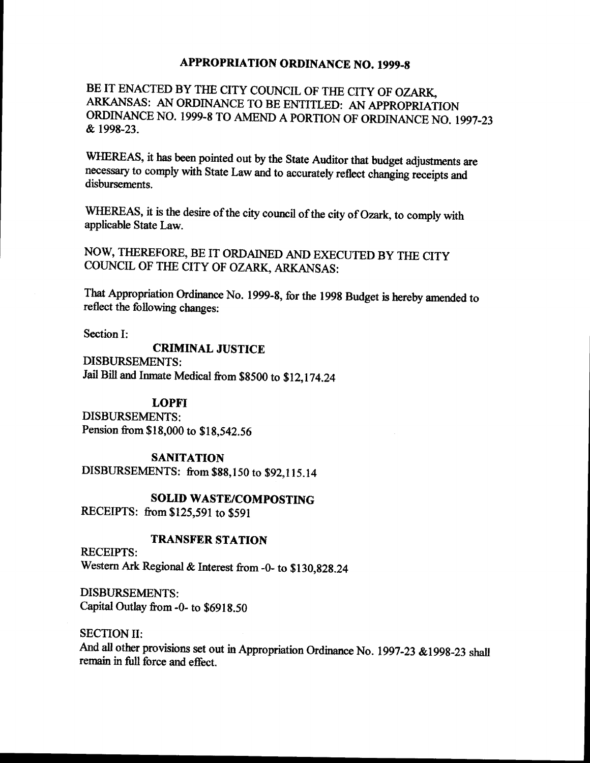# **APPROPRIATION ORDINANCE NO. 1999-8**

BE IT ENACTED BY THE CITY COUNCIL OF THE CITY OF OZARK, ARKANSAS: AN ORDINANCE TO BE ENTITLED: AN APPROPRIATION ORDINANCE NO. 1999-8 TO AMEND A PORTION OF ORDINANCE NO. 1997-23 1998-23.

WHEREAS, it has been pointed out by the State Auditor that budget adjustments are necessary to comply with State Law and to accurately reflect changing receipts and disbursements.

WHEREAS, it is the desire of the city council of the city of Ozark, to comply with applicable State Law.

NOW, THEREFORE, BE IT ORDAINED AND EXECUTED BY THE CITY COUNCIL OF THE CITY OF OZARK, ARKANSAS:

That Appropriation Ordinance No. 1999- 8, for the 1998 Budget is hereby amended to reflect the following changes:

Section I:

CRIMINAL JUSTICE DISBURSEMENTS: Jail Bill and Inmate Medical from\$ 8500 to \$ 12, 174. <sup>24</sup>

## LOPFI

DISBURSEMENTS: Pension from \$18,000 to \$18,542.56

### **SANITATION**

DISBURSEMENTS: from \$88,150 to \$92,115.14

SOLID WASTE/COMPOSTING

RECEIPTS: from \$125,591 to \$591

## TRANSFER STATION

RECEIPTS: Western Ark Regional & Interest from -0- to \$130,828.24

DISBURSEMENTS: Capital Outlay from -0- to \$6918.50

SECTION II:

And all other provisions set out in Appropriation Ordinance No. 1997-23 & 1998-23 shall remain in full force and effect.